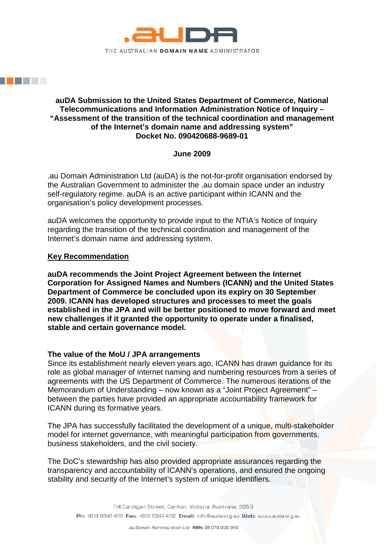

# **auDA Submission to the United States Department of Commerce, National Telecommunications and Information Administration Notice of Inquiry – "Assessment of the transition of the technical coordination and management of the Internet's domain name and addressing system" Docket No. 090420688-9689-01**

# **June 2009**

.au Domain Administration Ltd (auDA) is the not-for-profit organisation endorsed by the Australian Government to administer the .au domain space under an industry self-regulatory regime. auDA is an active participant within ICANN and the organisation's policy development processes.

auDA welcomes the opportunity to provide input to the NTIA's Notice of Inquiry regarding the transition of the technical coordination and management of the Internet's domain name and addressing system.

# **Key Recommendation**

**auDA recommends the Joint Project Agreement between the Internet Corporation for Assigned Names and Numbers (ICANN) and the United States Department of Commerce be concluded upon its expiry on 30 September 2009. ICANN has developed structures and processes to meet the goals established in the JPA and will be better positioned to move forward and meet new challenges if it granted the opportunity to operate under a finalised, stable and certain governance model.**

### **The value of the MoU / JPA arrangements**

Since its establishment nearly eleven years ago, ICANN has drawn guidance for its role as global manager of internet naming and numbering resources from a series of agreements with the US Department of Commerce. The numerous iterations of the Memorandum of Understanding – now known as a "Joint Project Agreement" – between the parties have provided an appropriate accountability framework for ICANN during its formative years.

The JPA has successfully facilitated the development of a unique, multi-stakeholder model for internet governance, with meaningful participation from governments, business stakeholders, and the civil society.

The DoC's stewardship has also provided appropriate assurances regarding the transparency and accountability of ICANN's operations, and ensured the ongoing stability and security of the Internet's system of unique identifiers.